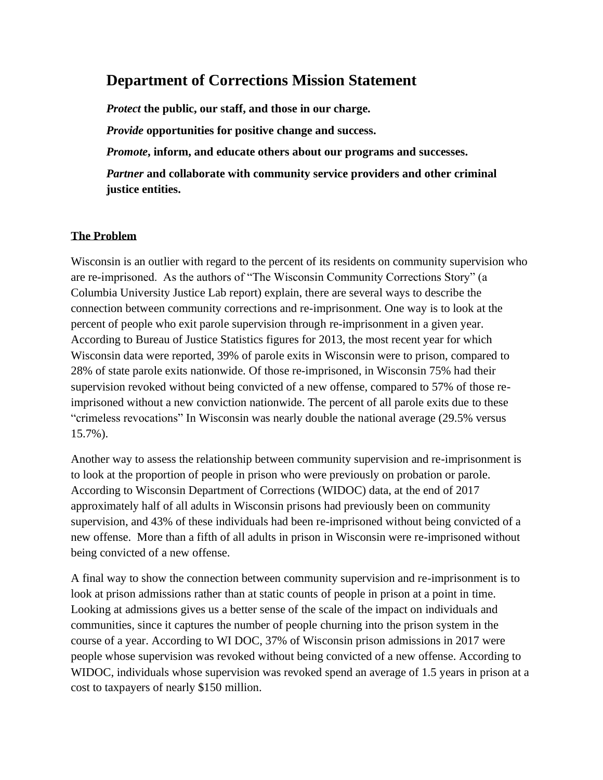# **Department of Corrections Mission Statement**

*Protect* **the public, our staff, and those in our charge.**

*Provide* **opportunities for positive change and success.**

*Promote***, inform, and educate others about our programs and successes.**

*Partner* **and collaborate with community service providers and other criminal justice entities.**

## **The Problem**

Wisconsin is an outlier with regard to the percent of its residents on community supervision who are re-imprisoned. As the authors of "The Wisconsin Community Corrections Story" (a Columbia University Justice Lab report) explain, there are several ways to describe the connection between community corrections and re-imprisonment. One way is to look at the percent of people who exit parole supervision through re-imprisonment in a given year. According to Bureau of Justice Statistics figures for 2013, the most recent year for which Wisconsin data were reported, 39% of parole exits in Wisconsin were to prison, compared to 28% of state parole exits nationwide. Of those re-imprisoned, in Wisconsin 75% had their supervision revoked without being convicted of a new offense, compared to 57% of those reimprisoned without a new conviction nationwide. The percent of all parole exits due to these "crimeless revocations" In Wisconsin was nearly double the national average (29.5% versus 15.7%).

Another way to assess the relationship between community supervision and re-imprisonment is to look at the proportion of people in prison who were previously on probation or parole. According to Wisconsin Department of Corrections (WIDOC) data, at the end of 2017 approximately half of all adults in Wisconsin prisons had previously been on community supervision, and 43% of these individuals had been re-imprisoned without being convicted of a new offense. More than a fifth of all adults in prison in Wisconsin were re-imprisoned without being convicted of a new offense.

A final way to show the connection between community supervision and re-imprisonment is to look at prison admissions rather than at static counts of people in prison at a point in time. Looking at admissions gives us a better sense of the scale of the impact on individuals and communities, since it captures the number of people churning into the prison system in the course of a year. According to WI DOC, 37% of Wisconsin prison admissions in 2017 were people whose supervision was revoked without being convicted of a new offense. According to WIDOC, individuals whose supervision was revoked spend an average of 1.5 years in prison at a cost to taxpayers of nearly \$150 million.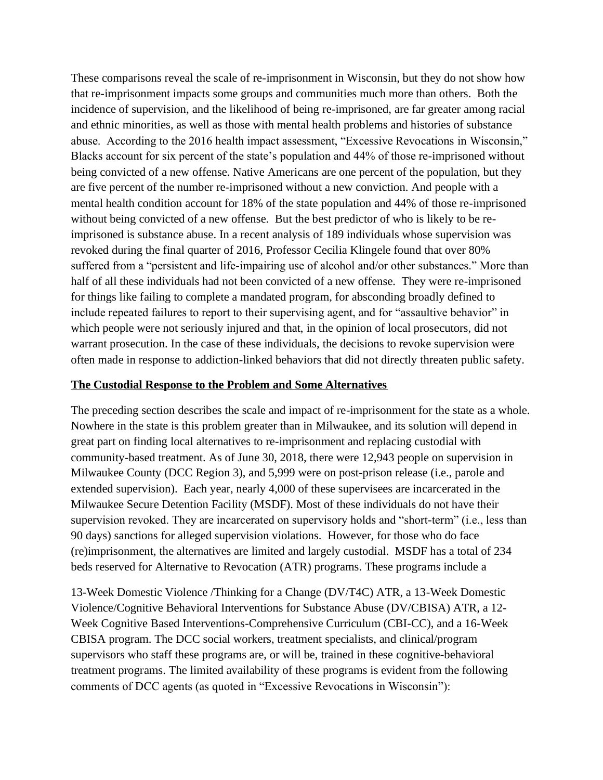These comparisons reveal the scale of re-imprisonment in Wisconsin, but they do not show how that re-imprisonment impacts some groups and communities much more than others. Both the incidence of supervision, and the likelihood of being re-imprisoned, are far greater among racial and ethnic minorities, as well as those with mental health problems and histories of substance abuse. According to the 2016 health impact assessment, "Excessive Revocations in Wisconsin," Blacks account for six percent of the state's population and 44% of those re-imprisoned without being convicted of a new offense. Native Americans are one percent of the population, but they are five percent of the number re-imprisoned without a new conviction. And people with a mental health condition account for 18% of the state population and 44% of those re-imprisoned without being convicted of a new offense. But the best predictor of who is likely to be reimprisoned is substance abuse. In a recent analysis of 189 individuals whose supervision was revoked during the final quarter of 2016, Professor Cecilia Klingele found that over 80% suffered from a "persistent and life-impairing use of alcohol and/or other substances." More than half of all these individuals had not been convicted of a new offense. They were re-imprisoned for things like failing to complete a mandated program, for absconding broadly defined to include repeated failures to report to their supervising agent, and for "assaultive behavior" in which people were not seriously injured and that, in the opinion of local prosecutors, did not warrant prosecution. In the case of these individuals, the decisions to revoke supervision were often made in response to addiction-linked behaviors that did not directly threaten public safety.

#### **The Custodial Response to the Problem and Some Alternatives**

The preceding section describes the scale and impact of re-imprisonment for the state as a whole. Nowhere in the state is this problem greater than in Milwaukee, and its solution will depend in great part on finding local alternatives to re-imprisonment and replacing custodial with community-based treatment. As of June 30, 2018, there were 12,943 people on supervision in Milwaukee County (DCC Region 3), and 5,999 were on post-prison release (i.e., parole and extended supervision). Each year, nearly 4,000 of these supervisees are incarcerated in the Milwaukee Secure Detention Facility (MSDF). Most of these individuals do not have their supervision revoked. They are incarcerated on supervisory holds and "short-term" (i.e., less than 90 days) sanctions for alleged supervision violations. However, for those who do face (re)imprisonment, the alternatives are limited and largely custodial. MSDF has a total of 234 beds reserved for Alternative to Revocation (ATR) programs. These programs include a

13-Week Domestic Violence /Thinking for a Change (DV/T4C) ATR, a 13-Week Domestic Violence/Cognitive Behavioral Interventions for Substance Abuse (DV/CBISA) ATR, a 12- Week Cognitive Based Interventions-Comprehensive Curriculum (CBI-CC), and a 16-Week CBISA program. The DCC social workers, treatment specialists, and clinical/program supervisors who staff these programs are, or will be, trained in these cognitive-behavioral treatment programs. The limited availability of these programs is evident from the following comments of DCC agents (as quoted in "Excessive Revocations in Wisconsin"):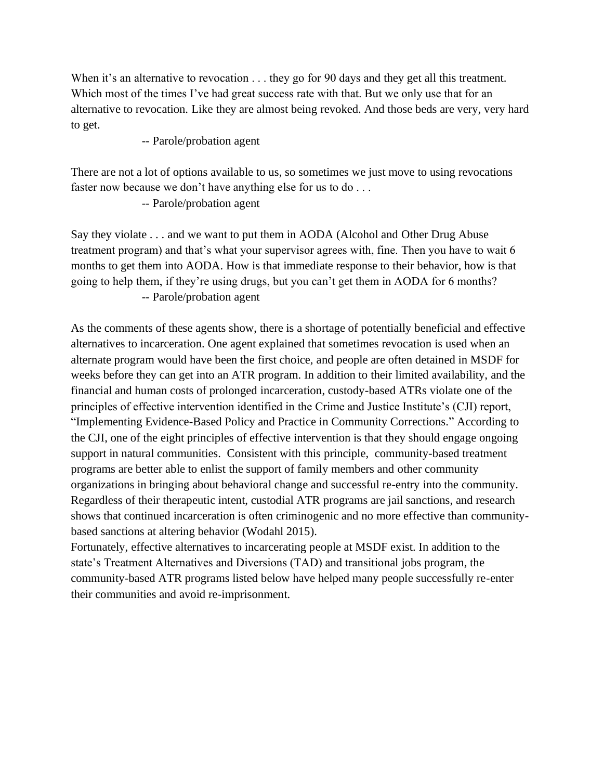When it's an alternative to revocation . . . they go for 90 days and they get all this treatment. Which most of the times I've had great success rate with that. But we only use that for an alternative to revocation. Like they are almost being revoked. And those beds are very, very hard to get.

-- Parole/probation agent

There are not a lot of options available to us, so sometimes we just move to using revocations faster now because we don't have anything else for us to do . . .

-- Parole/probation agent

Say they violate . . . and we want to put them in AODA (Alcohol and Other Drug Abuse treatment program) and that's what your supervisor agrees with, fine. Then you have to wait 6 months to get them into AODA. How is that immediate response to their behavior, how is that going to help them, if they're using drugs, but you can't get them in AODA for 6 months? -- Parole/probation agent

As the comments of these agents show, there is a shortage of potentially beneficial and effective alternatives to incarceration. One agent explained that sometimes revocation is used when an alternate program would have been the first choice, and people are often detained in MSDF for weeks before they can get into an ATR program. In addition to their limited availability, and the financial and human costs of prolonged incarceration, custody-based ATRs violate one of the principles of effective intervention identified in the Crime and Justice Institute's (CJI) report, "Implementing Evidence-Based Policy and Practice in Community Corrections." According to the CJI, one of the eight principles of effective intervention is that they should engage ongoing support in natural communities. Consistent with this principle, community-based treatment programs are better able to enlist the support of family members and other community organizations in bringing about behavioral change and successful re-entry into the community. Regardless of their therapeutic intent, custodial ATR programs are jail sanctions, and research shows that continued incarceration is often criminogenic and no more effective than communitybased sanctions at altering behavior (Wodahl 2015).

Fortunately, effective alternatives to incarcerating people at MSDF exist. In addition to the state's Treatment Alternatives and Diversions (TAD) and transitional jobs program, the community-based ATR programs listed below have helped many people successfully re-enter their communities and avoid re-imprisonment.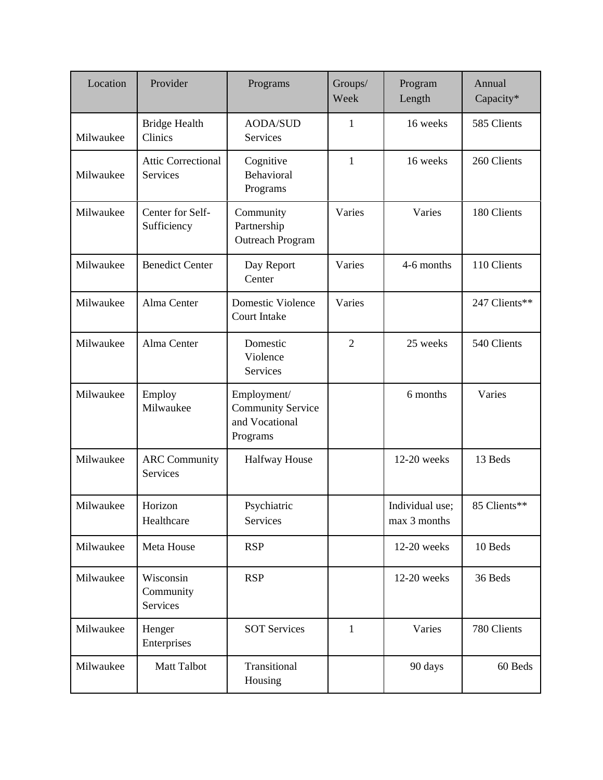| Location  | Provider                                     | Programs                                                              | Groups/<br>Week | Program<br>Length               | Annual<br>Capacity* |
|-----------|----------------------------------------------|-----------------------------------------------------------------------|-----------------|---------------------------------|---------------------|
| Milwaukee | <b>Bridge Health</b><br>Clinics              | <b>AODA/SUD</b><br>Services                                           | 1               | 16 weeks                        | 585 Clients         |
| Milwaukee | <b>Attic Correctional</b><br><b>Services</b> | Cognitive<br>Behavioral<br>Programs                                   | $\mathbf{1}$    | 16 weeks                        | 260 Clients         |
| Milwaukee | Center for Self-<br>Sufficiency              | Community<br>Partnership<br><b>Outreach Program</b>                   | Varies          | Varies                          | 180 Clients         |
| Milwaukee | <b>Benedict Center</b>                       | Day Report<br>Center                                                  | Varies          | 4-6 months                      | 110 Clients         |
| Milwaukee | Alma Center                                  | Domestic Violence<br><b>Court Intake</b>                              | Varies          |                                 | 247 Clients**       |
| Milwaukee | Alma Center                                  | Domestic<br>Violence<br>Services                                      | $\overline{2}$  | 25 weeks                        | 540 Clients         |
| Milwaukee | Employ<br>Milwaukee                          | Employment/<br><b>Community Service</b><br>and Vocational<br>Programs |                 | 6 months                        | Varies              |
| Milwaukee | <b>ARC Community</b><br>Services             | Halfway House                                                         |                 | 12-20 weeks                     | 13 Beds             |
| Milwaukee | Horizon<br>Healthcare                        | Psychiatric<br>Services                                               |                 | Individual use;<br>max 3 months | 85 Clients**        |
| Milwaukee | Meta House                                   | <b>RSP</b>                                                            |                 | 12-20 weeks                     | 10 Beds             |
| Milwaukee | Wisconsin<br>Community<br>Services           | <b>RSP</b>                                                            |                 | 12-20 weeks                     | 36 Beds             |
| Milwaukee | Henger<br>Enterprises                        | <b>SOT Services</b>                                                   | $\mathbf{1}$    | Varies                          | 780 Clients         |
| Milwaukee | <b>Matt Talbot</b>                           | Transitional<br>Housing                                               |                 | 90 days                         | 60 Beds             |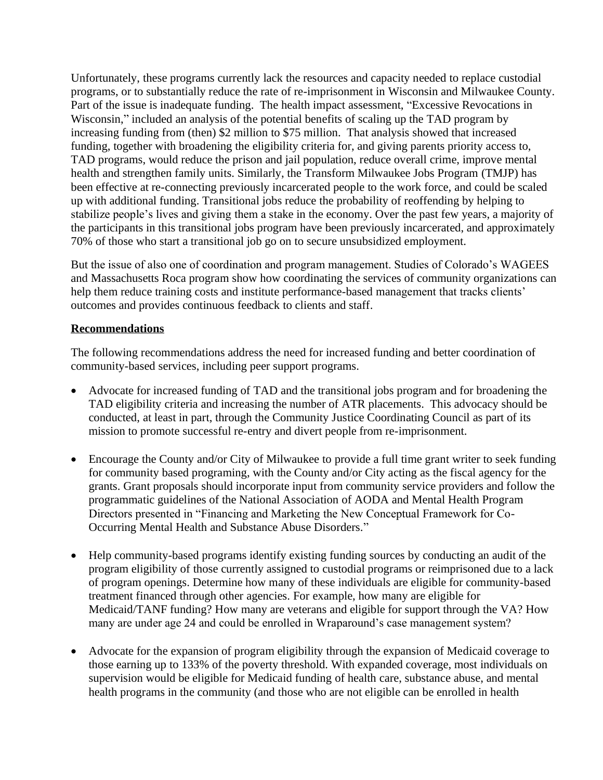Unfortunately, these programs currently lack the resources and capacity needed to replace custodial programs, or to substantially reduce the rate of re-imprisonment in Wisconsin and Milwaukee County. Part of the issue is inadequate funding. The health impact assessment, "Excessive Revocations in Wisconsin," included an analysis of the potential benefits of scaling up the TAD program by increasing funding from (then) \$2 million to \$75 million. That analysis showed that increased funding, together with broadening the eligibility criteria for, and giving parents priority access to, TAD programs, would reduce the prison and jail population, reduce overall crime, improve mental health and strengthen family units. Similarly, the Transform Milwaukee Jobs Program (TMJP) has been effective at re-connecting previously incarcerated people to the work force, and could be scaled up with additional funding. Transitional jobs reduce the probability of reoffending by helping to stabilize people's lives and giving them a stake in the economy. Over the past few years, a majority of the participants in this transitional jobs program have been previously incarcerated, and approximately 70% of those who start a transitional job go on to secure unsubsidized employment.

But the issue of also one of coordination and program management. Studies of Colorado's WAGEES and Massachusetts Roca program show how coordinating the services of community organizations can help them reduce training costs and institute performance-based management that tracks clients' outcomes and provides continuous feedback to clients and staff.

### **Recommendations**

The following recommendations address the need for increased funding and better coordination of community-based services, including peer support programs.

- Advocate for increased funding of TAD and the transitional jobs program and for broadening the TAD eligibility criteria and increasing the number of ATR placements. This advocacy should be conducted, at least in part, through the Community Justice Coordinating Council as part of its mission to promote successful re-entry and divert people from re-imprisonment.
- Encourage the County and/or City of Milwaukee to provide a full time grant writer to seek funding for community based programing, with the County and/or City acting as the fiscal agency for the grants. Grant proposals should incorporate input from community service providers and follow the programmatic guidelines of the National Association of AODA and Mental Health Program Directors presented in "Financing and Marketing the New Conceptual Framework for Co-Occurring Mental Health and Substance Abuse Disorders."
- Help community-based programs identify existing funding sources by conducting an audit of the program eligibility of those currently assigned to custodial programs or reimprisoned due to a lack of program openings. Determine how many of these individuals are eligible for community-based treatment financed through other agencies. For example, how many are eligible for Medicaid/TANF funding? How many are veterans and eligible for support through the VA? How many are under age 24 and could be enrolled in Wraparound's case management system?
- Advocate for the expansion of program eligibility through the expansion of Medicaid coverage to those earning up to 133% of the poverty threshold. With expanded coverage, most individuals on supervision would be eligible for Medicaid funding of health care, substance abuse, and mental health programs in the community (and those who are not eligible can be enrolled in health